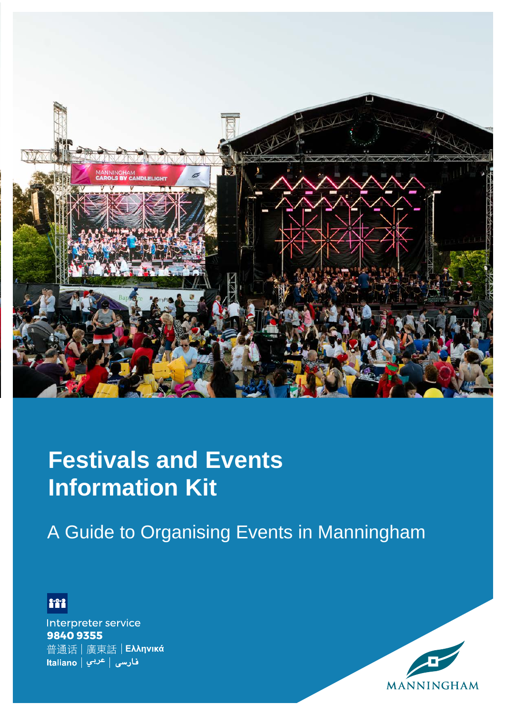

# **Festivals and Events Information Kit**

A Guide to Organising Events in Manningham



Interpreter service 98409355 普通话 | 廣東話 | Eλληνικά فارسی | <sup>عربي</sup> | Italiano

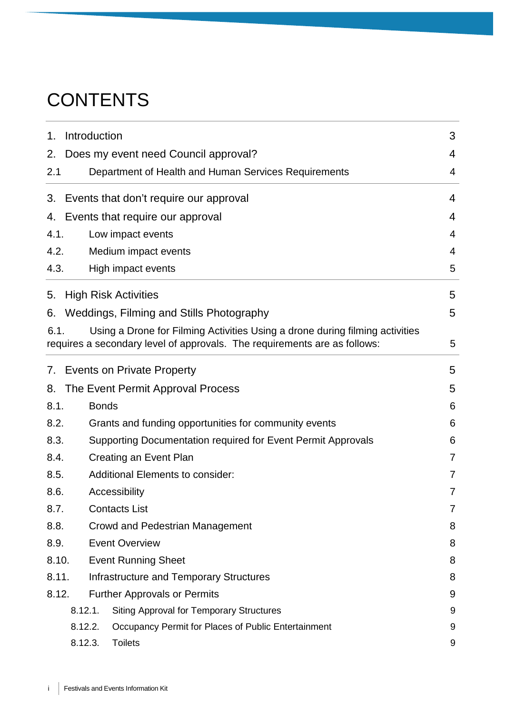# **CONTENTS**

| 1.    | Introduction                        |                                                                                                                                                           | 3              |
|-------|-------------------------------------|-----------------------------------------------------------------------------------------------------------------------------------------------------------|----------------|
| 2.    |                                     | Does my event need Council approval?                                                                                                                      | 4              |
| 2.1   |                                     | Department of Health and Human Services Requirements                                                                                                      | 4              |
| 3.    |                                     | Events that don't require our approval                                                                                                                    | 4              |
| 4.    |                                     | Events that require our approval                                                                                                                          | 4              |
| 4.1.  |                                     | Low impact events                                                                                                                                         | 4              |
| 4.2.  |                                     | Medium impact events                                                                                                                                      | 4              |
| 4.3.  |                                     | High impact events                                                                                                                                        | 5              |
| 5.    |                                     | <b>High Risk Activities</b>                                                                                                                               | 5              |
| 6.    |                                     | Weddings, Filming and Stills Photography                                                                                                                  | 5              |
| 6.1.  |                                     | Using a Drone for Filming Activities Using a drone during filming activities<br>requires a secondary level of approvals. The requirements are as follows: | 5              |
| 7.    |                                     | <b>Events on Private Property</b>                                                                                                                         | 5              |
| 8.    |                                     | The Event Permit Approval Process                                                                                                                         | 5              |
| 8.1.  |                                     | <b>Bonds</b>                                                                                                                                              | 6              |
| 8.2.  |                                     | Grants and funding opportunities for community events                                                                                                     | 6              |
| 8.3.  |                                     | Supporting Documentation required for Event Permit Approvals                                                                                              | 6              |
| 8.4.  |                                     | Creating an Event Plan                                                                                                                                    | $\overline{7}$ |
| 8.5.  |                                     | <b>Additional Elements to consider:</b>                                                                                                                   | 7              |
| 8.6.  |                                     | Accessibility                                                                                                                                             | 7              |
| 8.7.  |                                     | <b>Contacts List</b>                                                                                                                                      | $\overline{7}$ |
| 8.8.  |                                     | <b>Crowd and Pedestrian Management</b>                                                                                                                    | 8              |
| 8.9.  |                                     | <b>Event Overview</b>                                                                                                                                     | 8              |
|       | 8.10.<br><b>Event Running Sheet</b> |                                                                                                                                                           | 8              |
| 8.11. |                                     | Infrastructure and Temporary Structures                                                                                                                   | 8              |
| 8.12. |                                     | <b>Further Approvals or Permits</b>                                                                                                                       | 9              |
|       | 8.12.1.                             | <b>Siting Approval for Temporary Structures</b>                                                                                                           | 9              |
|       | 8.12.2.                             | Occupancy Permit for Places of Public Entertainment                                                                                                       | 9              |
|       | 8.12.3.                             | <b>Toilets</b>                                                                                                                                            | 9              |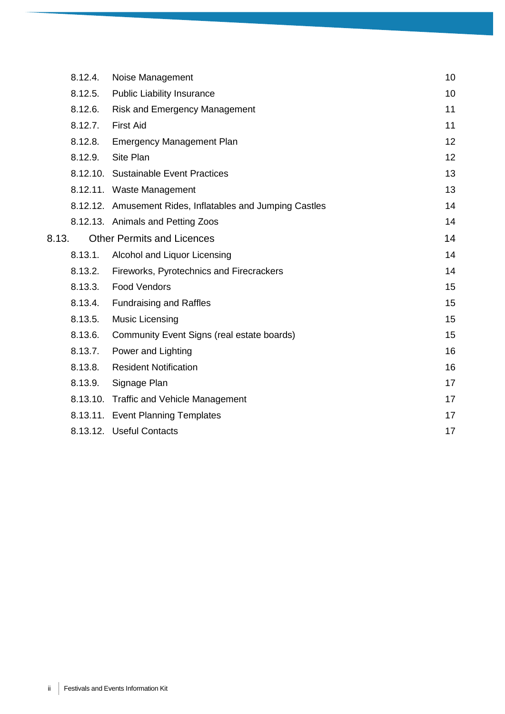|       | 8.12.4. | Noise Management                                          | 10 |
|-------|---------|-----------------------------------------------------------|----|
|       | 8.12.5. | <b>Public Liability Insurance</b>                         | 10 |
|       | 8.12.6. | <b>Risk and Emergency Management</b>                      | 11 |
|       | 8.12.7. | <b>First Aid</b>                                          | 11 |
|       | 8.12.8. | <b>Emergency Management Plan</b>                          | 12 |
|       | 8.12.9. | Site Plan                                                 | 12 |
|       |         | 8.12.10. Sustainable Event Practices                      | 13 |
|       |         | 8.12.11. Waste Management                                 | 13 |
|       |         | 8.12.12. Amusement Rides, Inflatables and Jumping Castles | 14 |
|       |         | 8.12.13. Animals and Petting Zoos                         | 14 |
| 8.13. |         | <b>Other Permits and Licences</b>                         | 14 |
|       | 8.13.1. | Alcohol and Liquor Licensing                              | 14 |
|       | 8.13.2. | Fireworks, Pyrotechnics and Firecrackers                  | 14 |
|       | 8.13.3. | <b>Food Vendors</b>                                       | 15 |
|       | 8.13.4. | <b>Fundraising and Raffles</b>                            | 15 |
|       | 8.13.5. | Music Licensing                                           | 15 |
|       | 8.13.6. | Community Event Signs (real estate boards)                | 15 |
|       | 8.13.7. | Power and Lighting                                        | 16 |
|       | 8.13.8. | <b>Resident Notification</b>                              | 16 |
|       | 8.13.9. | Signage Plan                                              | 17 |
|       |         | 8.13.10. Traffic and Vehicle Management                   | 17 |
|       |         | 8.13.11. Event Planning Templates                         | 17 |
|       |         | 8.13.12. Useful Contacts                                  | 17 |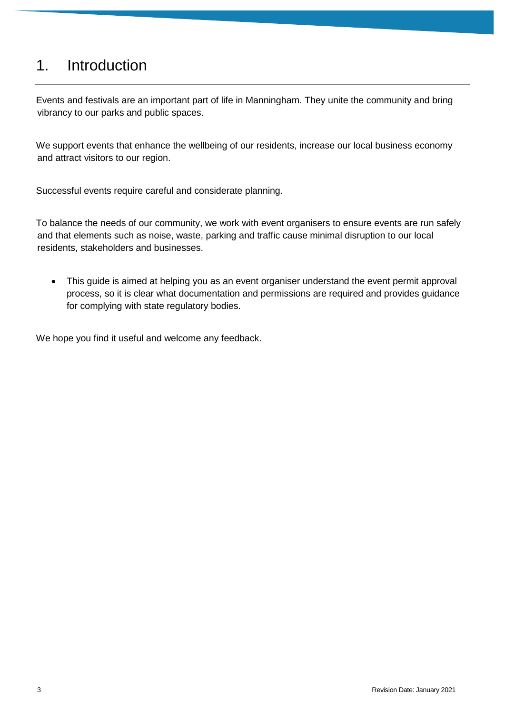# <span id="page-3-0"></span>1. Introduction

Events and festivals are an important part of life in Manningham. They unite the community and bring vibrancy to our parks and public spaces.

We support events that enhance the wellbeing of our residents, increase our local business economy and attract visitors to our region.

Successful events require careful and considerate planning.

To balance the needs of our community, we work with event organisers to ensure events are run safely and that elements such as noise, waste, parking and traffic cause minimal disruption to our local residents, stakeholders and businesses.

• This guide is aimed at helping you as an event organiser understand the event permit approval process, so it is clear what documentation and permissions are required and provides guidance for complying with state regulatory bodies.

We hope you find it useful and welcome any feedback.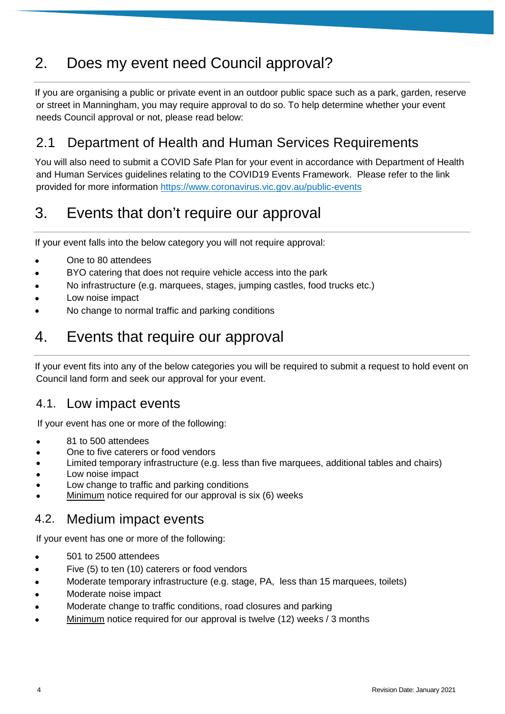# <span id="page-4-0"></span>2. Does my event need Council approval?

If you are organising a public or private event in an outdoor public space such as a park, garden, reserve or street in Manningham, you may require approval to do so. To help determine whether your event needs Council approval or not, please read below:

# <span id="page-4-1"></span>2.1 Department of Health and Human Services Requirements

You will also need to submit a COVID Safe Plan for your event in accordance with Department of Health and Human Services guidelines relating to the COVID19 Events Framework. Please refer to the link provided for more information<https://www.coronavirus.vic.gov.au/public-events>

# <span id="page-4-2"></span>3. Events that don't require our approval

If your event falls into the below category you will not require approval:

- One to 80 attendees
- BYO catering that does not require vehicle access into the park
- No infrastructure (e.g. marquees, stages, jumping castles, food trucks etc.)
- Low noise impact
- No change to normal traffic and parking conditions

# <span id="page-4-3"></span>4. Events that require our approval

If your event fits into any of the below categories you will be required to submit a request to hold event on Council land form and seek our approval for your event.

# <span id="page-4-4"></span>4.1. Low impact events

If your event has one or more of the following:

- 81 to 500 attendees
- One to five caterers or food vendors
- Limited temporary infrastructure (e.g. less than five marquees, additional tables and chairs)
- Low noise impact
- Low change to traffic and parking conditions
- <span id="page-4-5"></span>Minimum notice required for our approval is six (6) weeks

# 4.2. Medium impact events

If your event has one or more of the following:

- 501 to 2500 attendees
- Five (5) to ten (10) caterers or food vendors
- Moderate temporary infrastructure (e.g. stage, PA, less than 15 marquees, toilets)
- Moderate noise impact
- Moderate change to traffic conditions, road closures and parking
- Minimum notice required for our approval is twelve (12) weeks / 3 months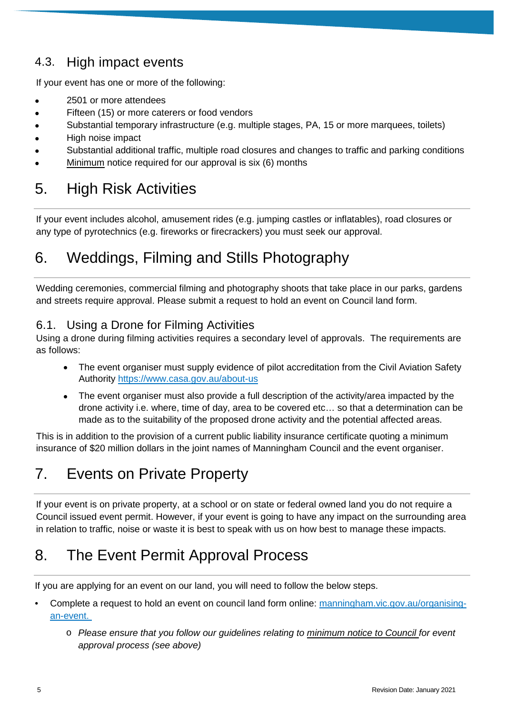# <span id="page-5-0"></span>4.3. High impact events

If your event has one or more of the following:

- 2501 or more attendees
- Fifteen (15) or more caterers or food vendors
- Substantial temporary infrastructure (e.g. multiple stages, PA, 15 or more marquees, toilets)
- High noise impact
- Substantial additional traffic, multiple road closures and changes to traffic and parking conditions
- Minimum notice required for our approval is six (6) months

# <span id="page-5-1"></span>5. High Risk Activities

If your event includes alcohol, amusement rides (e.g. jumping castles or inflatables), road closures or any type of pyrotechnics (e.g. fireworks or firecrackers) you must seek our approval.

# <span id="page-5-2"></span>6. Weddings, Filming and Stills Photography

Wedding ceremonies, commercial filming and photography shoots that take place in our parks, gardens and streets require approval. Please submit a request to hold an event on Council land form.

### <span id="page-5-3"></span>6.1. Using a Drone for Filming Activities

Using a drone during filming activities requires a secondary level of approvals. The requirements are as follows:

- The event organiser must supply evidence of pilot accreditation from the Civil Aviation Safety Authority<https://www.casa.gov.au/about-us>
- The event organiser must also provide a full description of the activity/area impacted by the drone activity i.e. where, time of day, area to be covered etc… so that a determination can be made as to the suitability of the proposed drone activity and the potential affected areas.

This is in addition to the provision of a current public liability insurance certificate quoting a minimum insurance of \$20 million dollars in the joint names of Manningham Council and the event organiser.

# <span id="page-5-4"></span>7. Events on Private Property

If your event is on private property, at a school or on state or federal owned land you do not require a Council issued event permit. However, if your event is going to have any impact on the surrounding area in relation to traffic, noise or waste it is best to speak with us on how best to manage these impacts.

# <span id="page-5-5"></span>8. The Event Permit Approval Process

If you are applying for an event on our land, you will need to follow the below steps.

- Complete a request to hold an event on council land form online: [manningham.vic.gov.au/organising](http://www.manningham.vic.gov.au/organising-an-event)[an-event.](http://www.manningham.vic.gov.au/organising-an-event)
	- o *Please ensure that you follow our guidelines relating to minimum notice to Council for event approval process (see above)*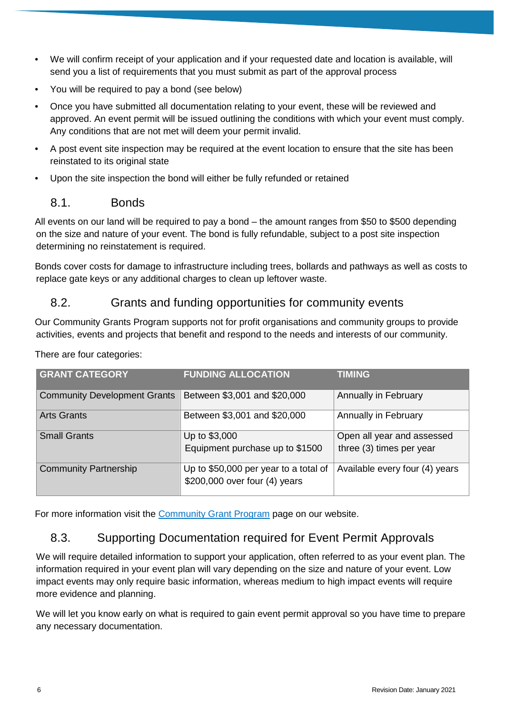- We will confirm receipt of your application and if your requested date and location is available, will send you a list of requirements that you must submit as part of the approval process
- You will be required to pay a bond (see below)
- Once you have submitted all documentation relating to your event, these will be reviewed and approved. An event permit will be issued outlining the conditions with which your event must comply. Any conditions that are not met will deem your permit invalid.
- A post event site inspection may be required at the event location to ensure that the site has been reinstated to its original state
- Upon the site inspection the bond will either be fully refunded or retained

#### <span id="page-6-0"></span>8.1. Bonds

All events on our land will be required to pay a bond – the amount ranges from \$50 to \$500 depending on the size and nature of your event. The bond is fully refundable, subject to a post site inspection determining no reinstatement is required.

Bonds cover costs for damage to infrastructure including trees, bollards and pathways as well as costs to replace gate keys or any additional charges to clean up leftover waste.

### <span id="page-6-1"></span>8.2. Grants and funding opportunities for community events

Our Community Grants Program supports not for profit organisations and community groups to provide activities, events and projects that benefit and respond to the needs and interests of our community.

| <b>GRANT CATEGORY</b>               | <b>FUNDING ALLOCATION</b>             | <b>TIMING</b>                  |
|-------------------------------------|---------------------------------------|--------------------------------|
| <b>Community Development Grants</b> | Between \$3,001 and \$20,000          | Annually in February           |
| <b>Arts Grants</b>                  | Between \$3,001 and \$20,000          | Annually in February           |
| <b>Small Grants</b>                 | Up to \$3,000                         | Open all year and assessed     |
|                                     | Equipment purchase up to \$1500       | three (3) times per year       |
| <b>Community Partnership</b>        | Up to \$50,000 per year to a total of | Available every four (4) years |
|                                     | \$200,000 over four (4) years         |                                |

There are four categories:

For more information visit the [Community Grant Program](https://www.manningham.vic.gov.au/community-grant-program) page on our website.

# <span id="page-6-2"></span>8.3. Supporting Documentation required for Event Permit Approvals

We will require detailed information to support your application, often referred to as your event plan. The information required in your event plan will vary depending on the size and nature of your event. Low impact events may only require basic information, whereas medium to high impact events will require more evidence and planning.

We will let you know early on what is required to gain event permit approval so you have time to prepare any necessary documentation.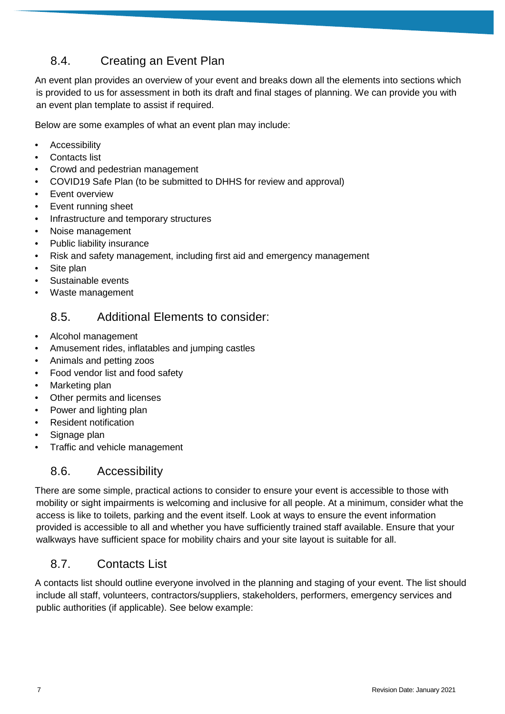# <span id="page-7-0"></span>8.4. Creating an Event Plan

An event plan provides an overview of your event and breaks down all the elements into sections which is provided to us for assessment in both its draft and final stages of planning. We can provide you with an event plan template to assist if required.

Below are some examples of what an event plan may include:

- **Accessibility**
- Contacts list
- Crowd and pedestrian management
- COVID19 Safe Plan (to be submitted to DHHS for review and approval)
- Event overview
- Event running sheet
- Infrastructure and temporary structures
- Noise management
- Public liability insurance
- Risk and safety management, including first aid and emergency management
- Site plan
- Sustainable events
- <span id="page-7-1"></span>• Waste management

### 8.5. Additional Elements to consider:

- Alcohol management
- Amusement rides, inflatables and jumping castles
- Animals and petting zoos
- Food vendor list and food safety
- Marketing plan
- Other permits and licenses
- Power and lighting plan
- Resident notification
- Signage plan
- <span id="page-7-2"></span>• Traffic and vehicle management

### 8.6. Accessibility

There are some simple, practical actions to consider to ensure your event is accessible to those with mobility or sight impairments is welcoming and inclusive for all people. At a minimum, consider what the access is like to toilets, parking and the event itself. Look at ways to ensure the event information provided is accessible to all and whether you have sufficiently trained staff available. Ensure that your walkways have sufficient space for mobility chairs and your site layout is suitable for all.

### <span id="page-7-3"></span>8.7. Contacts List

A contacts list should outline everyone involved in the planning and staging of your event. The list should include all staff, volunteers, contractors/suppliers, stakeholders, performers, emergency services and public authorities (if applicable). See below example: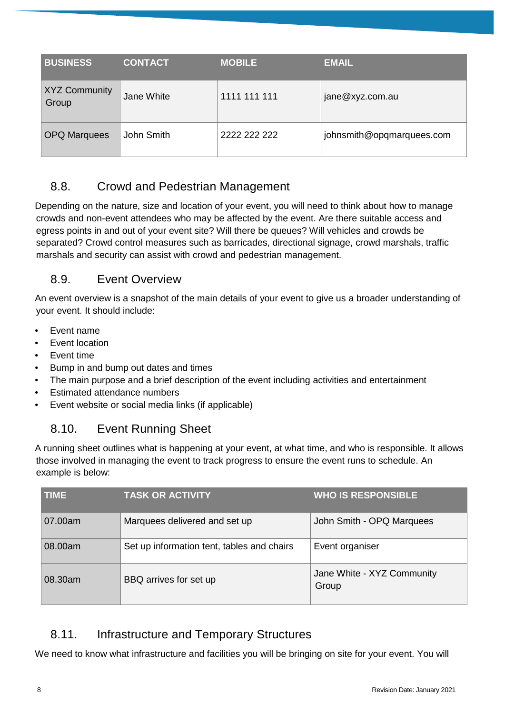| <b>BUSINESS</b>               | <b>CONTACT</b> | <b>MOBILE</b> | <b>EMAIL</b>              |
|-------------------------------|----------------|---------------|---------------------------|
| <b>XYZ Community</b><br>Group | Jane White     | 1111 111 111  | jane@xyz.com.au           |
| <b>OPQ Marquees</b>           | John Smith     | 2222 222 222  | johnsmith@opgmarquees.com |

# <span id="page-8-0"></span>8.8. Crowd and Pedestrian Management

Depending on the nature, size and location of your event, you will need to think about how to manage crowds and non-event attendees who may be affected by the event. Are there suitable access and egress points in and out of your event site? Will there be queues? Will vehicles and crowds be separated? Crowd control measures such as barricades, directional signage, crowd marshals, traffic marshals and security can assist with crowd and pedestrian management.

### <span id="page-8-1"></span>8.9. Event Overview

An event overview is a snapshot of the main details of your event to give us a broader understanding of your event. It should include:

- Event name
- Event location
- **Event time**
- Bump in and bump out dates and times
- The main purpose and a brief description of the event including activities and entertainment
- Estimated attendance numbers
- <span id="page-8-2"></span>• Event website or social media links (if applicable)

# 8.10. Event Running Sheet

A running sheet outlines what is happening at your event, at what time, and who is responsible. It allows those involved in managing the event to track progress to ensure the event runs to schedule. An example is below:

| <b>TIME</b> | <b>TASK OR ACTIVITY</b>                    | <b>WHO IS RESPONSIBLE</b>           |
|-------------|--------------------------------------------|-------------------------------------|
| 07.00am     | Marquees delivered and set up              | John Smith - OPQ Marquees           |
| 08.00am     | Set up information tent, tables and chairs | Event organiser                     |
| 08.30am     | BBQ arrives for set up                     | Jane White - XYZ Community<br>Group |

# <span id="page-8-3"></span>8.11. Infrastructure and Temporary Structures

We need to know what infrastructure and facilities you will be bringing on site for your event. You will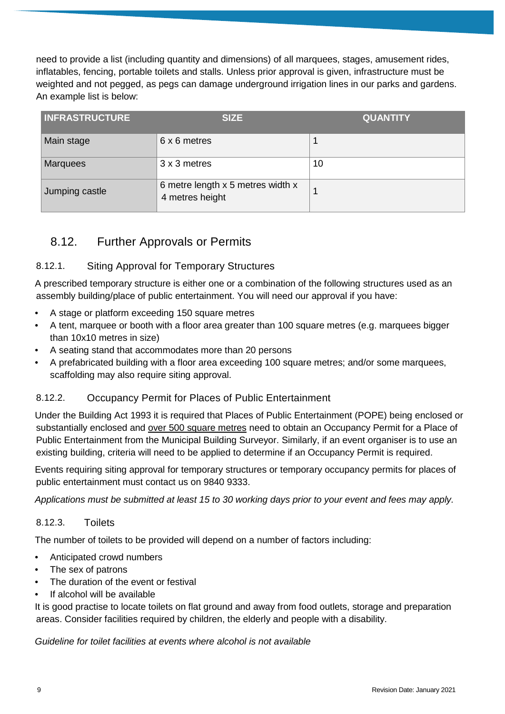need to provide a list (including quantity and dimensions) of all marquees, stages, amusement rides, inflatables, fencing, portable toilets and stalls. Unless prior approval is given, infrastructure must be weighted and not pegged, as pegs can damage underground irrigation lines in our parks and gardens. An example list is below:

| <b>INFRASTRUCTURE</b> | <b>SIZE</b>                                          | <b>QUANTITY</b> |
|-----------------------|------------------------------------------------------|-----------------|
| Main stage            | 6 x 6 metres                                         |                 |
| <b>Marquees</b>       | 3 x 3 metres                                         | 10              |
| Jumping castle        | 6 metre length x 5 metres width x<br>4 metres height | 1               |

# <span id="page-9-1"></span><span id="page-9-0"></span>8.12. Further Approvals or Permits

#### 8.12.1. Siting Approval for Temporary Structures

A prescribed temporary structure is either one or a combination of the following structures used as an assembly building/place of public entertainment. You will need our approval if you have:

- A stage or platform exceeding 150 square metres
- A tent, marquee or booth with a floor area greater than 100 square metres (e.g. marquees bigger than 10x10 metres in size)
- A seating stand that accommodates more than 20 persons
- A prefabricated building with a floor area exceeding 100 square metres; and/or some marquees, scaffolding may also require siting approval.

#### <span id="page-9-2"></span>8.12.2. Occupancy Permit for Places of Public Entertainment

Under the Building Act 1993 it is required that Places of Public Entertainment (POPE) being enclosed or substantially enclosed and over 500 square metres need to obtain an Occupancy Permit for a Place of Public Entertainment from the Municipal Building Surveyor. Similarly, if an event organiser is to use an existing building, criteria will need to be applied to determine if an Occupancy Permit is required.

Events requiring siting approval for temporary structures or temporary occupancy permits for places of public entertainment must contact us on 9840 9333.

*Applications must be submitted at least 15 to 30 working days prior to your event and fees may apply.*

#### <span id="page-9-3"></span>8.12.3. Toilets

The number of toilets to be provided will depend on a number of factors including:

- Anticipated crowd numbers
- The sex of patrons
- The duration of the event or festival
- If alcohol will be available

It is good practise to locate toilets on flat ground and away from food outlets, storage and preparation areas. Consider facilities required by children, the elderly and people with a disability.

*Guideline for toilet facilities at events where alcohol is not available*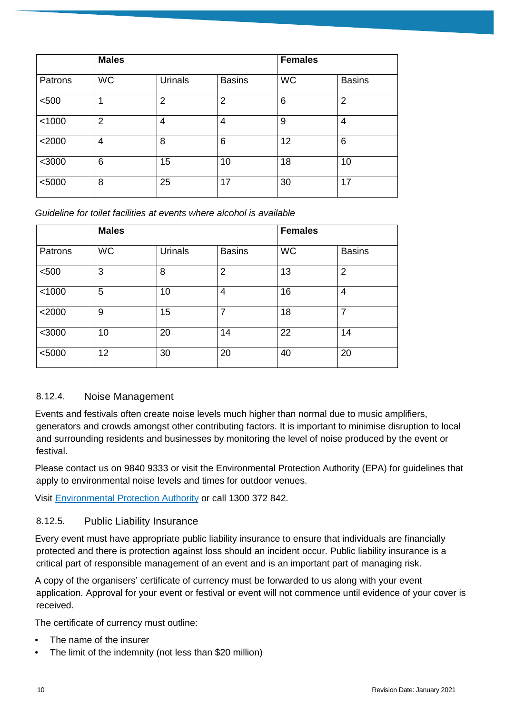|          | <b>Males</b> |                |                | <b>Females</b> |                |
|----------|--------------|----------------|----------------|----------------|----------------|
| Patrons  | <b>WC</b>    | Urinals        | <b>Basins</b>  | <b>WC</b>      | <b>Basins</b>  |
| < 500    |              | $\overline{2}$ | $\overline{2}$ | 6              | $\overline{2}$ |
| < 1000   | 2            | 4              | 4              | 9              | 4              |
| $<$ 2000 | 4            | 8              | 6              | 12             | 6              |
| $<$ 3000 | 6            | 15             | 10             | 18             | 10             |
| < 5000   | 8            | 25             | 17             | 30             | 17             |

*Guideline for toilet facilities at events where alcohol is available*

|          | <b>Males</b> |                |                | <b>Females</b> |                |
|----------|--------------|----------------|----------------|----------------|----------------|
| Patrons  | <b>WC</b>    | <b>Urinals</b> | <b>Basins</b>  | <b>WC</b>      | <b>Basins</b>  |
| < 500    | 3            | 8              | $\overline{2}$ | 13             | $\overline{2}$ |
| < 1000   | 5            | 10             | 4              | 16             | $\overline{4}$ |
| $<$ 2000 | 9            | 15             | $\overline{7}$ | 18             | $\overline{7}$ |
| $<$ 3000 | 10           | 20             | 14             | 22             | 14             |
| < 5000   | 12           | 30             | 20             | 40             | 20             |

#### <span id="page-10-0"></span>8.12.4. Noise Management

Events and festivals often create noise levels much higher than normal due to music amplifiers, generators and crowds amongst other contributing factors. It is important to minimise disruption to local and surrounding residents and businesses by monitoring the level of noise produced by the event or festival.

Please contact us on 9840 9333 or visit the Environmental Protection Authority (EPA) for guidelines that apply to environmental noise levels and times for outdoor venues.

Visit [Environmental Protection Authority](https://www.epa.vic.gov.au/business-and-industry/guidelines/noise-guidance/outdoor-venue-noise) or call 1300 372 842.

#### <span id="page-10-1"></span>8.12.5. Public Liability Insurance

Every event must have appropriate public liability insurance to ensure that individuals are financially protected and there is protection against loss should an incident occur. Public liability insurance is a critical part of responsible management of an event and is an important part of managing risk.

A copy of the organisers' certificate of currency must be forwarded to us along with your event application. Approval for your event or festival or event will not commence until evidence of your cover is received.

The certificate of currency must outline:

- The name of the insurer
- The limit of the indemnity (not less than \$20 million)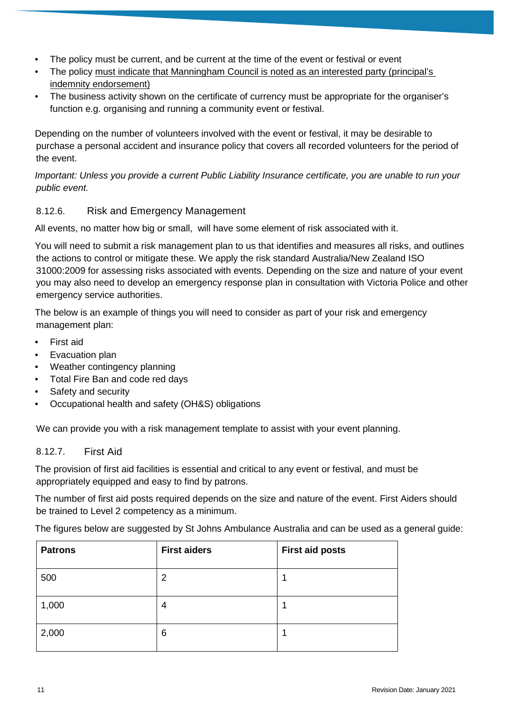- The policy must be current, and be current at the time of the event or festival or event
- The policy must indicate that Manningham Council is noted as an interested party (principal's indemnity endorsement)
- The business activity shown on the certificate of currency must be appropriate for the organiser's function e.g. organising and running a community event or festival.

Depending on the number of volunteers involved with the event or festival, it may be desirable to purchase a personal accident and insurance policy that covers all recorded volunteers for the period of the event.

*Important: Unless you provide a current Public Liability Insurance certificate, you are unable to run your public event.*

#### <span id="page-11-0"></span>8.12.6. Risk and Emergency Management

All events, no matter how big or small, will have some element of risk associated with it.

You will need to submit a risk management plan to us that identifies and measures all risks, and outlines the actions to control or mitigate these. We apply the risk standard Australia/New Zealand ISO 31000:2009 for assessing risks associated with events. Depending on the size and nature of your event you may also need to develop an emergency response plan in consultation with Victoria Police and other emergency service authorities.

The below is an example of things you will need to consider as part of your risk and emergency management plan:

- First aid
- Evacuation plan
- Weather contingency planning
- Total Fire Ban and code red days
- Safety and security
- Occupational health and safety (OH&S) obligations

We can provide you with a risk management template to assist with your event planning.

#### <span id="page-11-1"></span>8.12.7. First Aid

The provision of first aid facilities is essential and critical to any event or festival, and must be appropriately equipped and easy to find by patrons.

The number of first aid posts required depends on the size and nature of the event. First Aiders should be trained to Level 2 competency as a minimum.

The figures below are suggested by St Johns Ambulance Australia and can be used as a general guide:

| <b>Patrons</b> | <b>First aiders</b> | <b>First aid posts</b> |
|----------------|---------------------|------------------------|
| 500            | 2                   |                        |
| 1,000          | 4                   |                        |
| 2,000          | 6                   |                        |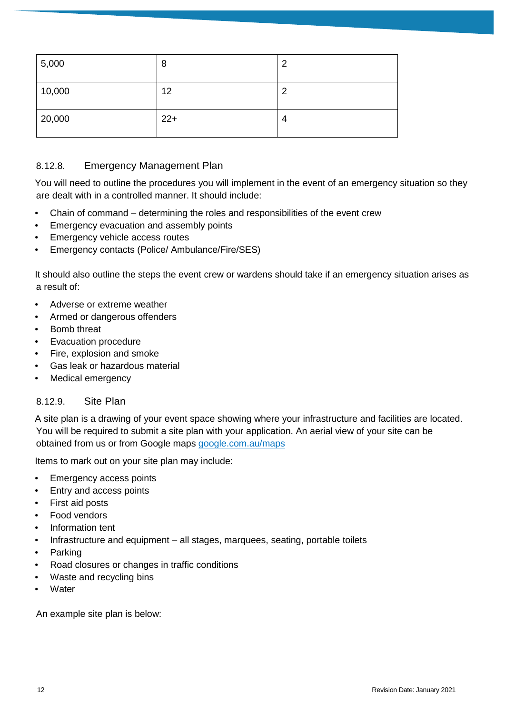| 5,000  | 8     | ◠ |
|--------|-------|---|
| 10,000 | 12    | ◠ |
| 20,000 | $22+$ | 4 |

#### <span id="page-12-0"></span>8.12.8. Emergency Management Plan

You will need to outline the procedures you will implement in the event of an emergency situation so they are dealt with in a controlled manner. It should include:

- Chain of command determining the roles and responsibilities of the event crew
- Emergency evacuation and assembly points
- Emergency vehicle access routes
- Emergency contacts (Police/ Ambulance/Fire/SES)

It should also outline the steps the event crew or wardens should take if an emergency situation arises as a result of:

- Adverse or extreme weather
- Armed or dangerous offenders
- Bomb threat
- Evacuation procedure
- Fire, explosion and smoke
- Gas leak or hazardous material
- Medical emergency

#### <span id="page-12-1"></span>8.12.9. Site Plan

A site plan is a drawing of your event space showing where your infrastructure and facilities are located. You will be required to submit a site plan with your application. An aerial view of your site can be obtained from us or from Google maps [google.com.au/maps](https://www.google.com.au/maps)

Items to mark out on your site plan may include:

- Emergency access points
- Entry and access points
- First aid posts
- Food vendors
- Information tent
- Infrastructure and equipment all stages, marquees, seating, portable toilets
- **Parking**
- Road closures or changes in traffic conditions
- Waste and recycling bins
- **Water**

An example site plan is below: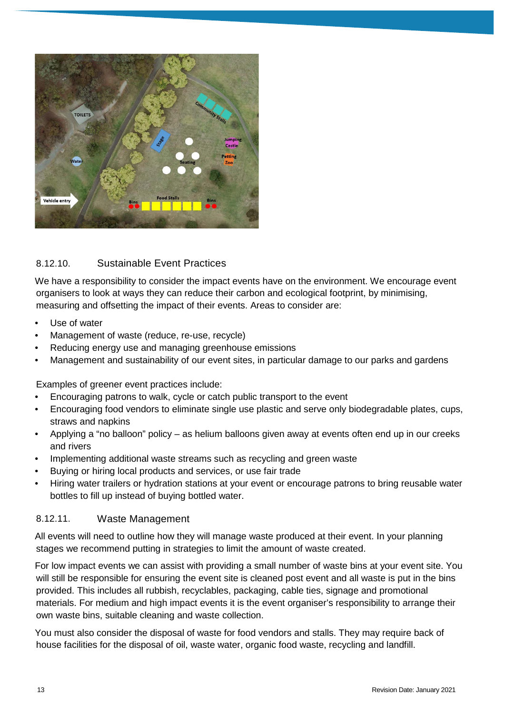

#### <span id="page-13-0"></span>8.12.10. Sustainable Event Practices

We have a responsibility to consider the impact events have on the environment. We encourage event organisers to look at ways they can reduce their carbon and ecological footprint, by minimising, measuring and offsetting the impact of their events. Areas to consider are:

- Use of water
- Management of waste (reduce, re-use, recycle)
- Reducing energy use and managing greenhouse emissions
- Management and sustainability of our event sites, in particular damage to our parks and gardens

Examples of greener event practices include:

- Encouraging patrons to walk, cycle or catch public transport to the event
- Encouraging food vendors to eliminate single use plastic and serve only biodegradable plates, cups, straws and napkins
- Applying a "no balloon" policy as helium balloons given away at events often end up in our creeks and rivers
- Implementing additional waste streams such as recycling and green waste
- Buying or hiring local products and services, or use fair trade
- Hiring water trailers or hydration stations at your event or encourage patrons to bring reusable water bottles to fill up instead of buying bottled water.

#### <span id="page-13-1"></span>8.12.11. Waste Management

All events will need to outline how they will manage waste produced at their event. In your planning stages we recommend putting in strategies to limit the amount of waste created.

For low impact events we can assist with providing a small number of waste bins at your event site. You will still be responsible for ensuring the event site is cleaned post event and all waste is put in the bins provided. This includes all rubbish, recyclables, packaging, cable ties, signage and promotional materials. For medium and high impact events it is the event organiser's responsibility to arrange their own waste bins, suitable cleaning and waste collection.

You must also consider the disposal of waste for food vendors and stalls. They may require back of house facilities for the disposal of oil, waste water, organic food waste, recycling and landfill.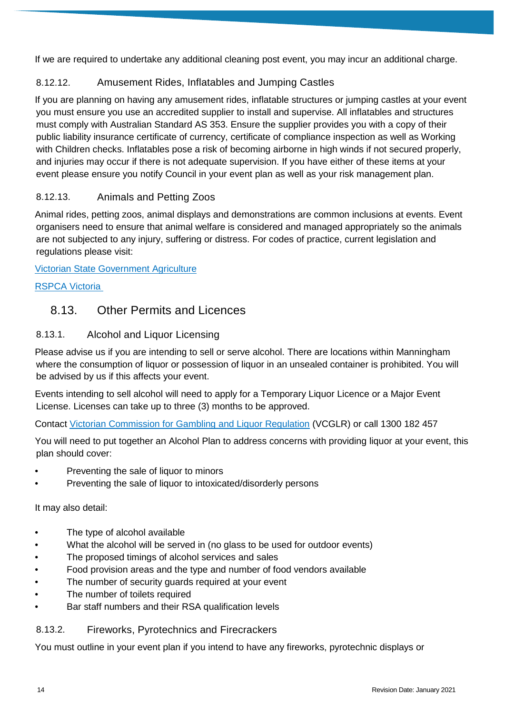If we are required to undertake any additional cleaning post event, you may incur an additional charge.

### <span id="page-14-0"></span>8.12.12. Amusement Rides, Inflatables and Jumping Castles

If you are planning on having any amusement rides, inflatable structures or jumping castles at your event you must ensure you use an accredited supplier to install and supervise. All inflatables and structures must comply with Australian Standard AS 353. Ensure the supplier provides you with a copy of their public liability insurance certificate of currency, certificate of compliance inspection as well as Working with Children checks. Inflatables pose a risk of becoming airborne in high winds if not secured properly, and injuries may occur if there is not adequate supervision. If you have either of these items at your event please ensure you notify Council in your event plan as well as your risk management plan.

### <span id="page-14-1"></span>8.12.13. Animals and Petting Zoos

Animal rides, petting zoos, animal displays and demonstrations are common inclusions at events. Event organisers need to ensure that animal welfare is considered and managed appropriately so the animals are not subjected to any injury, suffering or distress. For codes of practice, current legislation and regulations please visit:

[Victorian State Government Agriculture](http://agriculture.vic.gov.au/agriculture/animal-health-and-welfare/animal-welfare/animal-welfare-legislation)

#### [RSPCA Victoria](https://kb.rspca.org.au/article-categories/policies-animals-in-sport-entertainment-performance-recreation-and-work/)

# <span id="page-14-3"></span><span id="page-14-2"></span>8.13. Other Permits and Licences

### 8.13.1. Alcohol and Liquor Licensing

Please advise us if you are intending to sell or serve alcohol. There are locations within Manningham where the consumption of liquor or possession of liquor in an unsealed container is prohibited. You will be advised by us if this affects your event.

Events intending to sell alcohol will need to apply for a Temporary Liquor Licence or a Major Event License. Licenses can take up to three (3) months to be approved.

Contact [Victorian Commission for Gambling and Liquor Regulation](https://www.vcglr.vic.gov.au/home/liquor/) (VCGLR) or call 1300 182 457

You will need to put together an Alcohol Plan to address concerns with providing liquor at your event, this plan should cover:

- Preventing the sale of liquor to minors
- Preventing the sale of liquor to intoxicated/disorderly persons

#### It may also detail:

- The type of alcohol available
- What the alcohol will be served in (no glass to be used for outdoor events)
- The proposed timings of alcohol services and sales
- Food provision areas and the type and number of food vendors available
- The number of security guards required at your event
- The number of toilets required
- Bar staff numbers and their RSA qualification levels

<span id="page-14-4"></span>8.13.2. Fireworks, Pyrotechnics and Firecrackers

You must outline in your event plan if you intend to have any fireworks, pyrotechnic displays or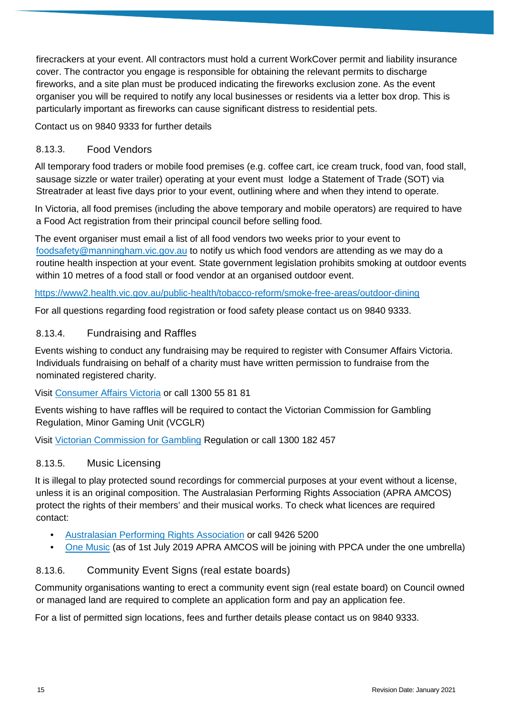firecrackers at your event. All contractors must hold a current WorkCover permit and liability insurance cover. The contractor you engage is responsible for obtaining the relevant permits to discharge fireworks, and a site plan must be produced indicating the fireworks exclusion zone. As the event organiser you will be required to notify any local businesses or residents via a letter box drop. This is particularly important as fireworks can cause significant distress to residential pets.

Contact us on 9840 9333 for further details

#### <span id="page-15-0"></span>8.13.3. Food Vendors

All temporary food traders or mobile food premises (e.g. coffee cart, ice cream truck, food van, food stall, sausage sizzle or water trailer) operating at your event must lodge a Statement of Trade (SOT) via Streatrader at least five days prior to your event, outlining where and when they intend to operate.

In Victoria, all food premises (including the above temporary and mobile operators) are required to have a Food Act registration from their principal council before selling food.

The event organiser must email a list of all food vendors two weeks prior to your event to [foodsafety@manningham.vic.gov.au](mailto:foodsafety@manningham.vic.gov.au) to notify us which food vendors are attending as we may do a routine health inspection at your event. State government legislation prohibits smoking at outdoor events within 10 metres of a food stall or food vendor at an organised outdoor event.

#### <https://www2.health.vic.gov.au/public-health/tobacco-reform/smoke-free-areas/outdoor-dining>

For all questions regarding food registration or food safety please contact us on 9840 9333.

#### <span id="page-15-1"></span>8.13.4. Fundraising and Raffles

Events wishing to conduct any fundraising may be required to register with Consumer Affairs Victoria. Individuals fundraising on behalf of a charity must have written permission to fundraise from the nominated registered charity.

#### Visit [Consumer Affairs Victoria](https://www.consumer.vic.gov.au/clubs-and-fundraising/fundraisers/what-is-a-fundraiser) or call 1300 55 81 81

Events wishing to have raffles will be required to contact the Victorian Commission for Gambling Regulation, Minor Gaming Unit (VCGLR)

Visit [Victorian Commission for Gambling](https://www.vcglr.vic.gov.au/home/liquor/) Regulation or call 1300 182 457

#### <span id="page-15-2"></span>8.13.5. Music Licensing

It is illegal to play protected sound recordings for commercial purposes at your event without a license, unless it is an original composition. The Australasian Performing Rights Association (APRA AMCOS) protect the rights of their members' and their musical works. To check what licences are required contact:

- [Australasian Performing Rights Association](http://apraamcos.com.au/) or call 9426 5200
- <span id="page-15-3"></span>• [One Music](https://www.onemusic.com.au/) (as of 1st July 2019 APRA AMCOS will be joining with PPCA under the one umbrella)

#### 8.13.6. Community Event Signs (real estate boards)

Community organisations wanting to erect a community event sign (real estate board) on Council owned or managed land are required to complete an application form and pay an application fee.

For a list of permitted sign locations, fees and further details please contact us on 9840 9333.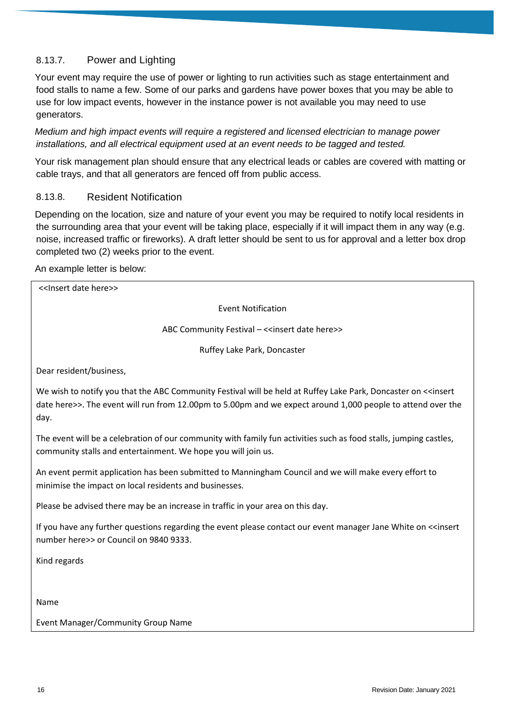#### <span id="page-16-0"></span>8.13.7. Power and Lighting

Your event may require the use of power or lighting to run activities such as stage entertainment and food stalls to name a few. Some of our parks and gardens have power boxes that you may be able to use for low impact events, however in the instance power is not available you may need to use generators.

*Medium and high impact events will require a registered and licensed electrician to manage power installations, and all electrical equipment used at an event needs to be tagged and tested.* 

Your risk management plan should ensure that any electrical leads or cables are covered with matting or cable trays, and that all generators are fenced off from public access.

#### <span id="page-16-1"></span>8.13.8. Resident Notification

Depending on the location, size and nature of your event you may be required to notify local residents in the surrounding area that your event will be taking place, especially if it will impact them in any way (e.g. noise, increased traffic or fireworks). A draft letter should be sent to us for approval and a letter box drop completed two (2) weeks prior to the event.

#### An example letter is below:

| < <lnsert date="" here="">&gt;</lnsert>                                                                                                                                                                                                                  |
|----------------------------------------------------------------------------------------------------------------------------------------------------------------------------------------------------------------------------------------------------------|
| <b>Event Notification</b>                                                                                                                                                                                                                                |
| ABC Community Festival - << insert date here>>                                                                                                                                                                                                           |
| Ruffey Lake Park, Doncaster                                                                                                                                                                                                                              |
| Dear resident/business,                                                                                                                                                                                                                                  |
| We wish to notify you that the ABC Community Festival will be held at Ruffey Lake Park, Doncaster on < <insert<br>date here&gt;&gt;. The event will run from 12.00pm to 5.00pm and we expect around 1,000 people to attend over the<br/>day.</insert<br> |
| The event will be a celebration of our community with family fun activities such as food stalls, jumping castles,<br>community stalls and entertainment. We hope you will join us.                                                                       |
| An event permit application has been submitted to Manningham Council and we will make every effort to<br>minimise the impact on local residents and businesses.                                                                                          |
| Please be advised there may be an increase in traffic in your area on this day.                                                                                                                                                                          |
| If you have any further questions regarding the event please contact our event manager Jane White on < <insert<br>number here &gt;&gt; or Council on 9840 9333.</insert<br>                                                                              |
| Kind regards                                                                                                                                                                                                                                             |

Name

Event Manager/Community Group Name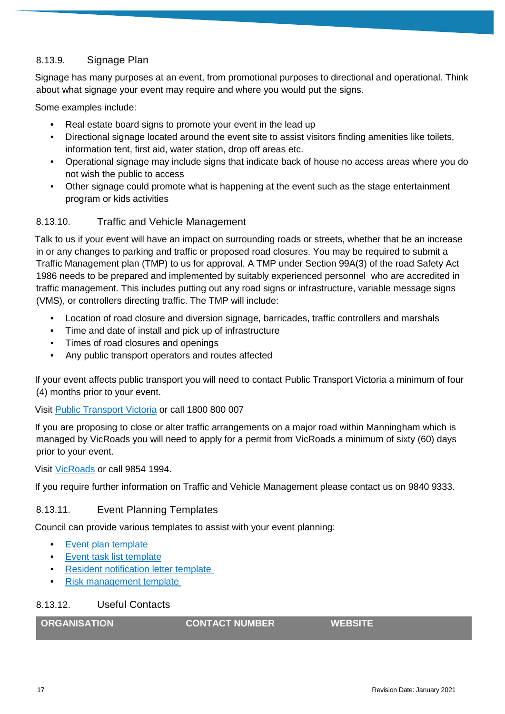#### <span id="page-17-0"></span>8.13.9. Signage Plan

Signage has many purposes at an event, from promotional purposes to directional and operational. Think about what signage your event may require and where you would put the signs.

Some examples include:

- Real estate board signs to promote your event in the lead up
- Directional signage located around the event site to assist visitors finding amenities like toilets, information tent, first aid, water station, drop off areas etc.
- Operational signage may include signs that indicate back of house no access areas where you do not wish the public to access
- Other signage could promote what is happening at the event such as the stage entertainment program or kids activities

#### <span id="page-17-1"></span>8.13.10. Traffic and Vehicle Management

Talk to us if your event will have an impact on surrounding roads or streets, whether that be an increase in or any changes to parking and traffic or proposed road closures. You may be required to submit a Traffic Management plan (TMP) to us for approval. A TMP under Section 99A(3) of the road Safety Act 1986 needs to be prepared and implemented by suitably experienced personnel who are accredited in traffic management. This includes putting out any road signs or infrastructure, variable message signs (VMS), or controllers directing traffic. The TMP will include:

- Location of road closure and diversion signage, barricades, traffic controllers and marshals
- Time and date of install and pick up of infrastructure
- Times of road closures and openings
- Any public transport operators and routes affected

If your event affects public transport you will need to contact Public Transport Victoria a minimum of four (4) months prior to your event.

Visit [Public Transport Victoria](https://www.ptv.vic.gov.au/) or call 1800 800 007

If you are proposing to close or alter traffic arrangements on a major road within Manningham which is managed by VicRoads you will need to apply for a permit from VicRoads a minimum of sixty (60) days prior to your event.

Visit [VicRoads](https://www.vicroads.vic.gov.au/traffic-and-road-use/events-and-filming-on-our-roads/getting-permission-for-your-event) or call 9854 1994.

If you require further information on Traffic and Vehicle Management please contact us on 9840 9333.

#### <span id="page-17-2"></span>8.13.11. Event Planning Templates

Council can provide various templates to assist with your event planning:

- [Event plan template](trim://D18%2f91432/?db=MC&view)
- [Event task list template](trim://D18%2f91445/?db=MC&view)
- [Resident notification letter template](trim://D19%2f57727/?db=MC&view)
- [Risk management template](trim://D18%2f66265/?db=MC&view)

#### <span id="page-17-3"></span>8.13.12. Useful Contacts

| <b>ORGANISATION</b> | <b>CONTACT NUMBER</b> | <b>WEBSITE</b> |
|---------------------|-----------------------|----------------|
|                     |                       |                |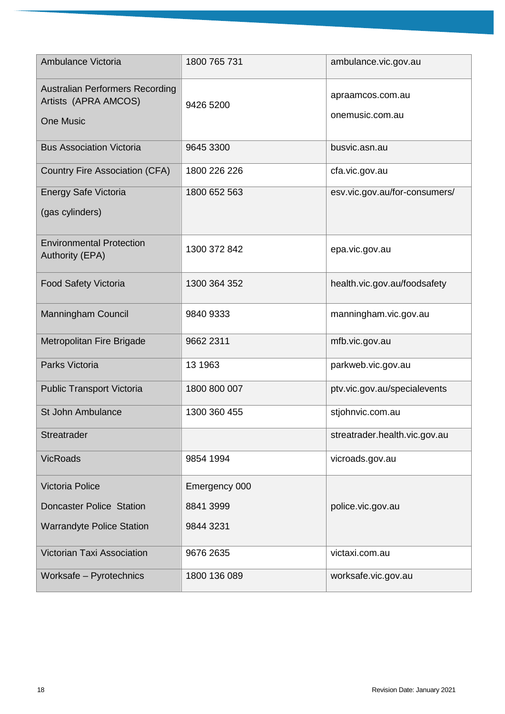| Ambulance Victoria                                                                 | 1800 765 731  | ambulance.vic.gov.au                |
|------------------------------------------------------------------------------------|---------------|-------------------------------------|
| <b>Australian Performers Recording</b><br>Artists (APRA AMCOS)<br><b>One Music</b> | 9426 5200     | apraamcos.com.au<br>onemusic.com.au |
| <b>Bus Association Victoria</b>                                                    | 9645 3300     | busvic.asn.au                       |
| <b>Country Fire Association (CFA)</b>                                              | 1800 226 226  | cfa.vic.gov.au                      |
| <b>Energy Safe Victoria</b><br>(gas cylinders)                                     | 1800 652 563  | esv.vic.gov.au/for-consumers/       |
| <b>Environmental Protection</b><br><b>Authority (EPA)</b>                          | 1300 372 842  | epa.vic.gov.au                      |
| <b>Food Safety Victoria</b>                                                        | 1300 364 352  | health.vic.gov.au/foodsafety        |
| <b>Manningham Council</b>                                                          | 9840 9333     | manningham.vic.gov.au               |
| Metropolitan Fire Brigade                                                          | 9662 2311     | mfb.vic.gov.au                      |
| Parks Victoria                                                                     | 13 1963       | parkweb.vic.gov.au                  |
| <b>Public Transport Victoria</b>                                                   | 1800 800 007  | ptv.vic.gov.au/specialevents        |
| St John Ambulance                                                                  | 1300 360 455  | stjohnvic.com.au                    |
| Streatrader                                                                        |               | streatrader.health.vic.gov.au       |
| <b>VicRoads</b>                                                                    | 9854 1994     | vicroads.gov.au                     |
| <b>Victoria Police</b>                                                             | Emergency 000 |                                     |
| <b>Doncaster Police Station</b>                                                    | 8841 3999     | police.vic.gov.au                   |
| <b>Warrandyte Police Station</b>                                                   | 9844 3231     |                                     |
| <b>Victorian Taxi Association</b>                                                  | 9676 2635     | victaxi.com.au                      |
| Worksafe - Pyrotechnics                                                            | 1800 136 089  | worksafe.vic.gov.au                 |